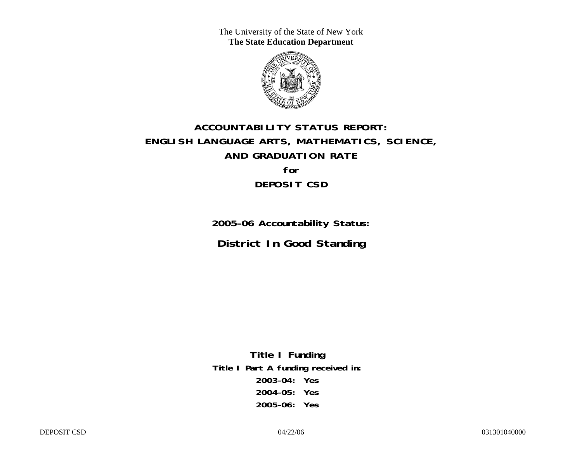The University of the State of New York **The State Education Department** 



# **ACCOUNTABILITY STATUS REPORT: ENGLISH LANGUAGE ARTS, MATHEMATICS, SCIENCE, AND GRADUATION RATE for DEPOSIT CSD**

**2005–06 Accountability Status: District In Good Standing** 

**Title I Funding Title I Part A funding received in: 2003–04: Yes 2004–05: Yes 2005–06: Yes**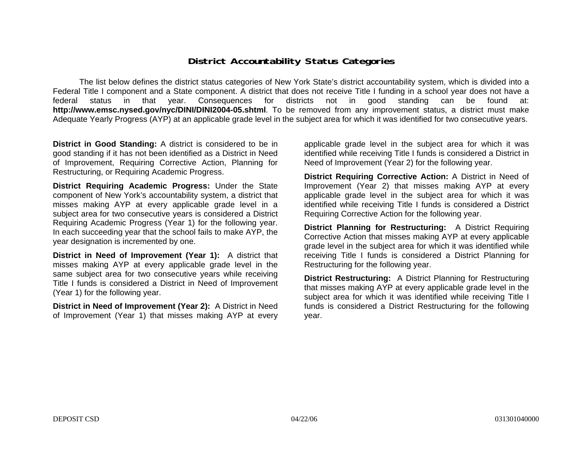### **District Accountability Status Categories**

The list below defines the district status categories of New York State's district accountability system, which is divided into a Federal Title I component and a State component. A district that does not receive Title I funding in a school year does not have a federal status in that year. Consequences for districts not in good standing can be found at: **http://www.emsc.nysed.gov/nyc/DINI/DINI2004-05.shtml**. To be removed from any improvement status, a district must make Adequate Yearly Progress (AYP) at an applicable grade level in the subject area for which it was identified for two consecutive years.

**District in Good Standing:** A district is considered to be in good standing if it has not been identified as a District in Need of Improvement, Requiring Corrective Action, Planning for Restructuring, or Requiring Academic Progress.

**District Requiring Academic Progress:** Under the State component of New York's accountability system, a district that misses making AYP at every applicable grade level in a subject area for two consecutive years is considered a District Requiring Academic Progress (Year 1) for the following year. In each succeeding year that the school fails to make AYP, the year designation is incremented by one.

**District in Need of Improvement (Year 1):** A district that misses making AYP at every applicable grade level in the same subject area for two consecutive years while receiving Title I funds is considered a District in Need of Improvement (Year 1) for the following year.

**District in Need of Improvement (Year 2):** A District in Need of Improvement (Year 1) that misses making AYP at every

applicable grade level in the subject area for which it was identified while receiving Title I funds is considered a District in Need of Improvement (Year 2) for the following year.

**District Requiring Corrective Action:** A District in Need of Improvement (Year 2) that misses making AYP at every applicable grade level in the subject area for which it was identified while receiving Title I funds is considered a District Requiring Corrective Action for the following year.

**District Planning for Restructuring:** A District Requiring Corrective Action that misses making AYP at every applicable grade level in the subject area for which it was identified while receiving Title I funds is considered a District Planning for Restructuring for the following year.

**District Restructuring:** A District Planning for Restructuring that misses making AYP at every applicable grade level in the subject area for which it was identified while receiving Title I funds is considered a District Restructuring for the following year.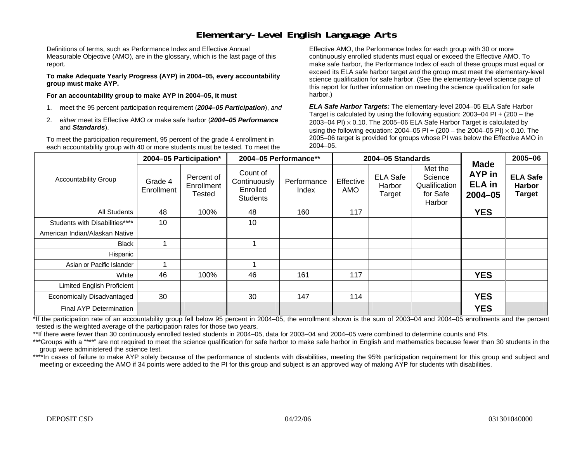### **Elementary-Level English Language Arts**

Definitions of terms, such as Performance Index and Effective Annual Measurable Objective (AMO), are in the glossary, which is the last page of this report.

**To make Adequate Yearly Progress (AYP) in 2004–05, every accountability group must make AYP.** 

**For an accountability group to make AYP in 2004–05, it must** 

- 1. meet the 95 percent participation requirement (*2004–05 Participation*), *and*
- 2. *either* meet its Effective AMO *or* make safe harbor (*2004–05 Performance*  and *Standards*).

To meet the participation requirement, 95 percent of the grade 4 enrollment in each accountability group with 40 or more students must be tested. To meet the

Effective AMO, the Performance Index for each group with 30 or more continuously enrolled students must equal or exceed the Effective AMO. To make safe harbor, the Performance Index of each of these groups must equal or exceed its ELA safe harbor target *and* the group must meet the elementary-level science qualification for safe harbor. (See the elementary-level science page of this report for further information on meeting the science qualification for safe harbor.)

*ELA Safe Harbor Targets:* The elementary-level 2004–05 ELA Safe Harbor Target is calculated by using the following equation: 2003–04 PI + (200 – the 2003–04 PI)  $\times$  0.10. The 2005–06 ELA Safe Harbor Target is calculated by using the following equation: 2004–05 PI + (200 – the 2004–05 PI) × 0.10. The 2005–06 target is provided for groups whose PI was below the Effective AMO in 2004–05.

|                                |                       | 2004-05 Participation*                    |                                                         | 2004-05 Performance** |                  | 2004-05 Standards                   |                                                           |                                                       | 2005-06                                           |
|--------------------------------|-----------------------|-------------------------------------------|---------------------------------------------------------|-----------------------|------------------|-------------------------------------|-----------------------------------------------------------|-------------------------------------------------------|---------------------------------------------------|
| <b>Accountability Group</b>    | Grade 4<br>Enrollment | Percent of<br>Enrollment<br><b>Tested</b> | Count of<br>Continuously<br>Enrolled<br><b>Students</b> | Performance<br>Index  | Effective<br>AMO | <b>ELA Safe</b><br>Harbor<br>Target | Met the<br>Science<br>Qualification<br>for Safe<br>Harbor | <b>Made</b><br>AYP in<br><b>ELA</b> in<br>$2004 - 05$ | <b>ELA Safe</b><br><b>Harbor</b><br><b>Target</b> |
| <b>All Students</b>            | 48                    | 100%                                      | 48                                                      | 160                   | 117              |                                     |                                                           | <b>YES</b>                                            |                                                   |
| Students with Disabilities**** | 10                    |                                           | 10                                                      |                       |                  |                                     |                                                           |                                                       |                                                   |
| American Indian/Alaskan Native |                       |                                           |                                                         |                       |                  |                                     |                                                           |                                                       |                                                   |
| <b>Black</b>                   |                       |                                           |                                                         |                       |                  |                                     |                                                           |                                                       |                                                   |
| <b>Hispanic</b>                |                       |                                           |                                                         |                       |                  |                                     |                                                           |                                                       |                                                   |
| Asian or Pacific Islander      |                       |                                           |                                                         |                       |                  |                                     |                                                           |                                                       |                                                   |
| White                          | 46                    | 100%                                      | 46                                                      | 161                   | 117              |                                     |                                                           | <b>YES</b>                                            |                                                   |
| Limited English Proficient     |                       |                                           |                                                         |                       |                  |                                     |                                                           |                                                       |                                                   |
| Economically Disadvantaged     | 30                    |                                           | 30                                                      | 147                   | 114              |                                     |                                                           | <b>YES</b>                                            |                                                   |
| Final AYP Determination        |                       |                                           |                                                         |                       |                  |                                     |                                                           | <b>YES</b>                                            |                                                   |

\*If the participation rate of an accountability group fell below 95 percent in 2004–05, the enrollment shown is the sum of 2003–04 and 2004–05 enrollments and the percent tested is the weighted average of the participation rates for those two years.

\*\*If there were fewer than 30 continuously enrolled tested students in 2004–05, data for 2003–04 and 2004–05 were combined to determine counts and PIs.

\*\*\*Groups with a "\*\*\*" are not required to meet the science qualification for safe harbor to make safe harbor in English and mathematics because fewer than 30 students in the group were administered the science test.

\*\*\*\*In cases of failure to make AYP solely because of the performance of students with disabilities, meeting the 95% participation requirement for this group and subject and meeting or exceeding the AMO if 34 points were added to the PI for this group and subject is an approved way of making AYP for students with disabilities.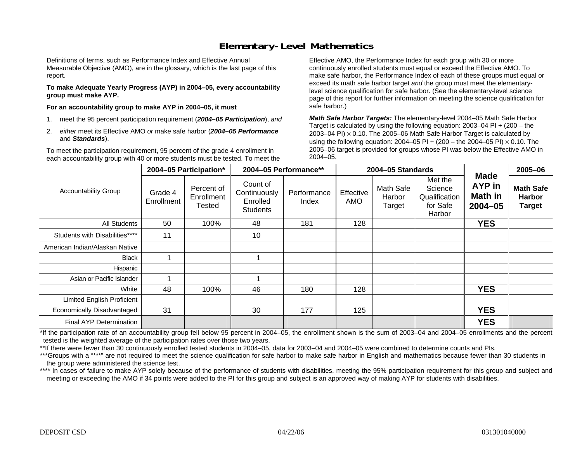## **Elementary-Level Mathematics**

Definitions of terms, such as Performance Index and Effective Annual Measurable Objective (AMO), are in the glossary, which is the last page of this report.

**To make Adequate Yearly Progress (AYP) in 2004–05, every accountability group must make AYP.** 

**For an accountability group to make AYP in 2004–05, it must** 

- 1. meet the 95 percent participation requirement (*2004–05 Participation*), *and*
- 2. *either* meet its Effective AMO *or* make safe harbor (*2004–05 Performance*  and *Standards*).

To meet the participation requirement, 95 percent of the grade 4 enrollment in each accountability group with 40 or more students must be tested. To meet the

Effective AMO, the Performance Index for each group with 30 or more continuously enrolled students must equal or exceed the Effective AMO. To make safe harbor, the Performance Index of each of these groups must equal or exceed its math safe harbor target *and* the group must meet the elementarylevel science qualification for safe harbor. (See the elementary-level science page of this report for further information on meeting the science qualification for safe harbor.)

*Math Safe Harbor Targets:* The elementary-level 2004–05 Math Safe Harbor Target is calculated by using the following equation: 2003–04 PI + (200 – the 2003–04 PI) <sup>×</sup> 0.10. The 2005–06 Math Safe Harbor Target is calculated by using the following equation: 2004–05 PI + (200 – the 2004–05 PI) × 0.10. The 2005–06 target is provided for groups whose PI was below the Effective AMO in 2004–05.

|                                   |                       | 2004-05 Participation*             | 2004-05 Performance**                                   |                      |                         | 2004-05 Standards             |                                                           |                                                        | 2005-06                                            |
|-----------------------------------|-----------------------|------------------------------------|---------------------------------------------------------|----------------------|-------------------------|-------------------------------|-----------------------------------------------------------|--------------------------------------------------------|----------------------------------------------------|
| <b>Accountability Group</b>       | Grade 4<br>Enrollment | Percent of<br>Enrollment<br>Tested | Count of<br>Continuously<br>Enrolled<br><b>Students</b> | Performance<br>Index | Effective<br><b>AMO</b> | Math Safe<br>Harbor<br>Target | Met the<br>Science<br>Qualification<br>for Safe<br>Harbor | <b>Made</b><br>AYP in<br><b>Math in</b><br>$2004 - 05$ | <b>Math Safe</b><br><b>Harbor</b><br><b>Target</b> |
| <b>All Students</b>               | 50                    | 100%                               | 48                                                      | 181                  | 128                     |                               |                                                           | <b>YES</b>                                             |                                                    |
| Students with Disabilities****    | 11                    |                                    | 10                                                      |                      |                         |                               |                                                           |                                                        |                                                    |
| American Indian/Alaskan Native    |                       |                                    |                                                         |                      |                         |                               |                                                           |                                                        |                                                    |
| <b>Black</b>                      |                       |                                    |                                                         |                      |                         |                               |                                                           |                                                        |                                                    |
| Hispanic                          |                       |                                    |                                                         |                      |                         |                               |                                                           |                                                        |                                                    |
| Asian or Pacific Islander         | ٠                     |                                    |                                                         |                      |                         |                               |                                                           |                                                        |                                                    |
| White                             | 48                    | 100%                               | 46                                                      | 180                  | 128                     |                               |                                                           | <b>YES</b>                                             |                                                    |
| <b>Limited English Proficient</b> |                       |                                    |                                                         |                      |                         |                               |                                                           |                                                        |                                                    |
| Economically Disadvantaged        | 31                    |                                    | 30                                                      | 177                  | 125                     |                               |                                                           | <b>YES</b>                                             |                                                    |
| <b>Final AYP Determination</b>    |                       |                                    |                                                         |                      |                         |                               |                                                           | <b>YES</b>                                             |                                                    |

\*If the participation rate of an accountability group fell below 95 percent in 2004–05, the enrollment shown is the sum of 2003–04 and 2004–05 enrollments and the percent tested is the weighted average of the participation rates over those two years.

\*\*If there were fewer than 30 continuously enrolled tested students in 2004–05, data for 2003–04 and 2004–05 were combined to determine counts and PIs.

\*\*\*Groups with a "\*\*\*" are not required to meet the science qualification for safe harbor to make safe harbor in English and mathematics because fewer than 30 students in the group were administered the science test.

\*\*\*\* In cases of failure to make AYP solely because of the performance of students with disabilities, meeting the 95% participation requirement for this group and subject and meeting or exceeding the AMO if 34 points were added to the PI for this group and subject is an approved way of making AYP for students with disabilities.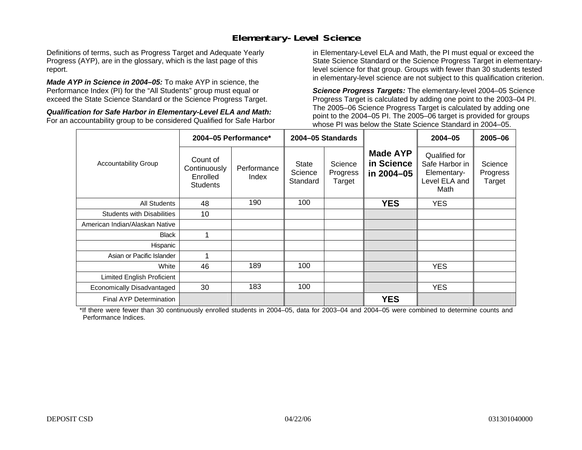## **Elementary-Level Science**

Definitions of terms, such as Progress Target and Adequate Yearly Progress (AYP), are in the glossary, which is the last page of this report.

*Made AYP in Science in 2004–05:* To make AYP in science, the Performance Index (PI) for the "All Students" group must equal or exceed the State Science Standard or the Science Progress Target.

*Qualification for Safe Harbor in Elementary-Level ELA and Math:* For an accountability group to be considered Qualified for Safe Harbor in Elementary-Level ELA and Math, the PI must equal or exceed the State Science Standard or the Science Progress Target in elementarylevel science for that group. Groups with fewer than 30 students tested in elementary-level science are not subject to this qualification criterion.

*Science Progress Targets:* The elementary-level 2004–05 Science Progress Target is calculated by adding one point to the 2003–04 PI. The 2005–06 Science Progress Target is calculated by adding one point to the 2004–05 PI. The 2005–06 target is provided for groups whose PI was below the State Science Standard in 2004–05.

|                                   |                                                         | 2004-05 Performance* |                                     | 2004-05 Standards             |                                             | $2004 - 05$                                                             | $2005 - 06$                   |
|-----------------------------------|---------------------------------------------------------|----------------------|-------------------------------------|-------------------------------|---------------------------------------------|-------------------------------------------------------------------------|-------------------------------|
| <b>Accountability Group</b>       | Count of<br>Continuously<br>Enrolled<br><b>Students</b> | Performance<br>Index | <b>State</b><br>Science<br>Standard | Science<br>Progress<br>Target | <b>Made AYP</b><br>in Science<br>in 2004-05 | Qualified for<br>Safe Harbor in<br>Elementary-<br>Level ELA and<br>Math | Science<br>Progress<br>Target |
| <b>All Students</b>               | 48                                                      | 190                  | 100                                 |                               | <b>YES</b>                                  | <b>YES</b>                                                              |                               |
| <b>Students with Disabilities</b> | 10                                                      |                      |                                     |                               |                                             |                                                                         |                               |
| American Indian/Alaskan Native    |                                                         |                      |                                     |                               |                                             |                                                                         |                               |
| <b>Black</b>                      |                                                         |                      |                                     |                               |                                             |                                                                         |                               |
| Hispanic                          |                                                         |                      |                                     |                               |                                             |                                                                         |                               |
| Asian or Pacific Islander         |                                                         |                      |                                     |                               |                                             |                                                                         |                               |
| White                             | 46                                                      | 189                  | 100                                 |                               |                                             | <b>YES</b>                                                              |                               |
| Limited English Proficient        |                                                         |                      |                                     |                               |                                             |                                                                         |                               |
| Economically Disadvantaged        | 30                                                      | 183                  | 100                                 |                               |                                             | <b>YES</b>                                                              |                               |
| <b>Final AYP Determination</b>    |                                                         |                      |                                     |                               | <b>YES</b>                                  |                                                                         |                               |

\*If there were fewer than 30 continuously enrolled students in 2004–05, data for 2003–04 and 2004–05 were combined to determine counts and Performance Indices.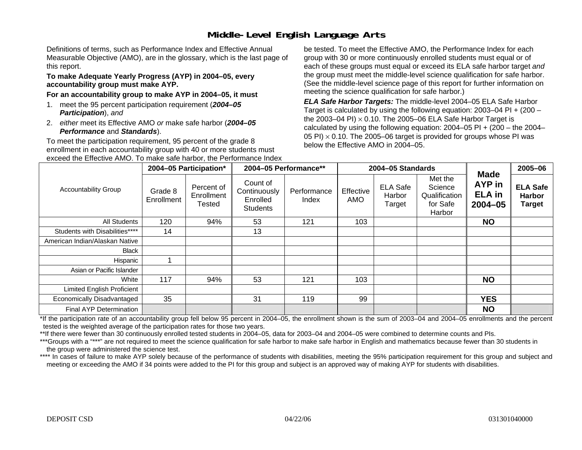# **Middle-Level English Language Arts**

Definitions of terms, such as Performance Index and Effective Annual Measurable Objective (AMO), are in the glossary, which is the last page of this report.

#### **To make Adequate Yearly Progress (AYP) in 2004–05, every accountability group must make AYP.**

#### **For an accountability group to make AYP in 2004–05, it must**

- 1. meet the 95 percent participation requirement (*2004–05 Participation*), *and*
- 2. *either* meet its Effective AMO *or* make safe harbor (*2004–05 Performance* and *Standards*).

To meet the participation requirement, 95 percent of the grade 8 enrollment in each accountability group with 40 or more students must exceed the Effective AMO. To make safe harbor, the Performance Index

be tested. To meet the Effective AMO, the Performance Index for each group with 30 or more continuously enrolled students must equal or of each of these groups must equal or exceed its ELA safe harbor target *and* the group must meet the middle-level science qualification for safe harbor. (See the middle-level science page of this report for further information on meeting the science qualification for safe harbor.)

*ELA Safe Harbor Targets:* The middle-level 2004–05 ELA Safe Harbor Target is calculated by using the following equation: 2003–04 PI + (200 – the 2003–04 PI) <sup>×</sup> 0.10. The 2005–06 ELA Safe Harbor Target is calculated by using the following equation:  $2004-05$  PI +  $(200 -$  the  $2004-$ 05 PI)  $\times$  0.10. The 2005–06 target is provided for groups whose PI was below the Effective AMO in 2004–05.

|                                   |                       | 2004-05 Participation*             |                                                         | 2004-05 Performance** |                  | 2004-05 Standards                   |                                                           |                                                       | 2005-06                                           |
|-----------------------------------|-----------------------|------------------------------------|---------------------------------------------------------|-----------------------|------------------|-------------------------------------|-----------------------------------------------------------|-------------------------------------------------------|---------------------------------------------------|
| <b>Accountability Group</b>       | Grade 8<br>Enrollment | Percent of<br>Enrollment<br>Tested | Count of<br>Continuously<br>Enrolled<br><b>Students</b> | Performance<br>Index  | Effective<br>AMO | <b>ELA Safe</b><br>Harbor<br>Target | Met the<br>Science<br>Qualification<br>for Safe<br>Harbor | <b>Made</b><br>AYP in<br><b>ELA</b> in<br>$2004 - 05$ | <b>ELA Safe</b><br><b>Harbor</b><br><b>Target</b> |
| All Students                      | 120                   | 94%                                | 53                                                      | 121                   | 103              |                                     |                                                           | <b>NO</b>                                             |                                                   |
| Students with Disabilities****    | 14                    |                                    | 13                                                      |                       |                  |                                     |                                                           |                                                       |                                                   |
| American Indian/Alaskan Native    |                       |                                    |                                                         |                       |                  |                                     |                                                           |                                                       |                                                   |
| Black                             |                       |                                    |                                                         |                       |                  |                                     |                                                           |                                                       |                                                   |
| Hispanic                          |                       |                                    |                                                         |                       |                  |                                     |                                                           |                                                       |                                                   |
| Asian or Pacific Islander         |                       |                                    |                                                         |                       |                  |                                     |                                                           |                                                       |                                                   |
| White                             | 117                   | 94%                                | 53                                                      | 121                   | 103              |                                     |                                                           | <b>NO</b>                                             |                                                   |
| <b>Limited English Proficient</b> |                       |                                    |                                                         |                       |                  |                                     |                                                           |                                                       |                                                   |
| Economically Disadvantaged        | 35                    |                                    | 31                                                      | 119                   | 99               |                                     |                                                           | <b>YES</b>                                            |                                                   |
| Final AYP Determination           |                       |                                    |                                                         |                       |                  |                                     |                                                           | <b>NO</b>                                             |                                                   |

\*If the participation rate of an accountability group fell below 95 percent in 2004–05, the enrollment shown is the sum of 2003–04 and 2004–05 enrollments and the percent tested is the weighted average of the participation rates for those two years.

\*\*If there were fewer than 30 continuously enrolled tested students in 2004–05, data for 2003–04 and 2004–05 were combined to determine counts and PIs.

\*\*\*Groups with a "\*\*\*" are not required to meet the science qualification for safe harbor to make safe harbor in English and mathematics because fewer than 30 students in the group were administered the science test.

\*\*\*\* In cases of failure to make AYP solely because of the performance of students with disabilities, meeting the 95% participation requirement for this group and subject and meeting or exceeding the AMO if 34 points were added to the PI for this group and subject is an approved way of making AYP for students with disabilities.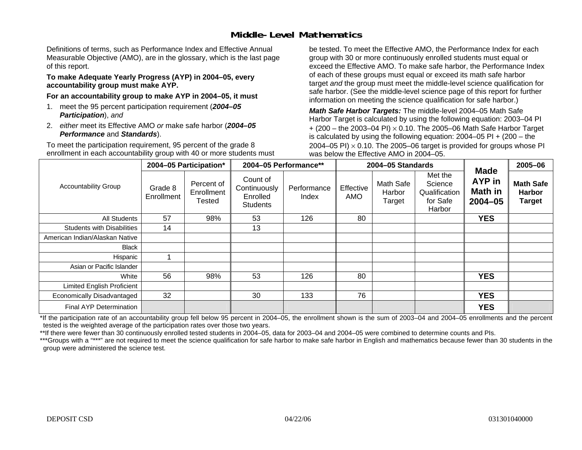### **Middle-Level Mathematics**

Definitions of terms, such as Performance Index and Effective Annual Measurable Objective (AMO), are in the glossary, which is the last page of this report.

#### **To make Adequate Yearly Progress (AYP) in 2004–05, every accountability group must make AYP.**

**For an accountability group to make AYP in 2004–05, it must** 

- 1. meet the 95 percent participation requirement (*2004–05 Participation*), *and*
- 2. *either* meet its Effective AMO *or* make safe harbor (*2004–05 Performance* and *Standards*).

To meet the participation requirement, 95 percent of the grade 8 enrollment in each accountability group with 40 or more students must be tested. To meet the Effective AMO, the Performance Index for each group with 30 or more continuously enrolled students must equal or exceed the Effective AMO. To make safe harbor, the Performance Index of each of these groups must equal or exceed its math safe harbor target *and* the group must meet the middle-level science qualification for safe harbor. (See the middle-level science page of this report for further information on meeting the science qualification for safe harbor.)

*Math Safe Harbor Targets:* The middle-level 2004–05 Math Safe Harbor Target is calculated by using the following equation: 2003–04 PI + (200 – the 2003–04 PI) <sup>×</sup> 0.10. The 2005–06 Math Safe Harbor Target is calculated by using the following equation: 2004–05 PI + (200 – the 2004–05 PI)  $\times$  0.10. The 2005–06 target is provided for groups whose PI was below the Effective AMO in 2004–05.

|                                   |                       | 2004-05 Participation*                    |                                                         | 2004-05 Performance** |                  | 2004-05 Standards             |                                                           |                                                               | 2005-06                                            |
|-----------------------------------|-----------------------|-------------------------------------------|---------------------------------------------------------|-----------------------|------------------|-------------------------------|-----------------------------------------------------------|---------------------------------------------------------------|----------------------------------------------------|
| <b>Accountability Group</b>       | Grade 8<br>Enrollment | Percent of<br>Enrollment<br><b>Tested</b> | Count of<br>Continuously<br>Enrolled<br><b>Students</b> | Performance<br>Index  | Effective<br>AMO | Math Safe<br>Harbor<br>Target | Met the<br>Science<br>Qualification<br>for Safe<br>Harbor | <b>Made</b><br><b>AYP</b> in<br><b>Math in</b><br>$2004 - 05$ | <b>Math Safe</b><br><b>Harbor</b><br><b>Target</b> |
| All Students                      | 57                    | 98%                                       | 53                                                      | 126                   | 80               |                               |                                                           | <b>YES</b>                                                    |                                                    |
| <b>Students with Disabilities</b> | 14                    |                                           | 13                                                      |                       |                  |                               |                                                           |                                                               |                                                    |
| American Indian/Alaskan Native    |                       |                                           |                                                         |                       |                  |                               |                                                           |                                                               |                                                    |
| Black                             |                       |                                           |                                                         |                       |                  |                               |                                                           |                                                               |                                                    |
| Hispanic                          |                       |                                           |                                                         |                       |                  |                               |                                                           |                                                               |                                                    |
| Asian or Pacific Islander         |                       |                                           |                                                         |                       |                  |                               |                                                           |                                                               |                                                    |
| White                             | 56                    | 98%                                       | 53                                                      | 126                   | 80               |                               |                                                           | <b>YES</b>                                                    |                                                    |
| Limited English Proficient        |                       |                                           |                                                         |                       |                  |                               |                                                           |                                                               |                                                    |
| Economically Disadvantaged        | 32                    |                                           | 30                                                      | 133                   | 76               |                               |                                                           | <b>YES</b>                                                    |                                                    |
| <b>Final AYP Determination</b>    |                       |                                           |                                                         |                       |                  |                               |                                                           | <b>YES</b>                                                    |                                                    |

\*If the participation rate of an accountability group fell below 95 percent in 2004–05, the enrollment shown is the sum of 2003–04 and 2004–05 enrollments and the percent tested is the weighted average of the participation rates over those two years.

\*\*If there were fewer than 30 continuously enrolled tested students in 2004–05, data for 2003–04 and 2004–05 were combined to determine counts and PIs.

\*\*\*Groups with a "\*\*\*" are not required to meet the science qualification for safe harbor to make safe harbor in English and mathematics because fewer than 30 students in the group were administered the science test.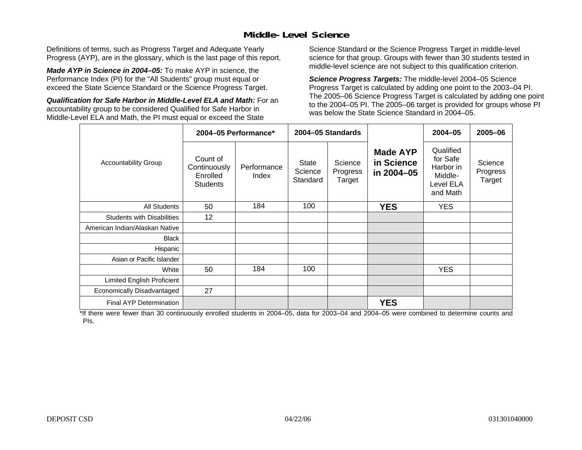## **Middle-Level Science**

Definitions of terms, such as Progress Target and Adequate Yearly Progress (AYP), are in the glossary, which is the last page of this report.

*Made AYP in Science in 2004–05:* To make AYP in science, the Performance Index (PI) for the "All Students" group must equal or exceed the State Science Standard or the Science Progress Target.

*Qualification for Safe Harbor in Middle-Level ELA and Math:* For an accountability group to be considered Qualified for Safe Harbor in Middle-Level ELA and Math, the PI must equal or exceed the State

Science Standard or the Science Progress Target in middle-level science for that group. Groups with fewer than 30 students tested in middle-level science are not subject to this qualification criterion.

*Science Progress Targets:* The middle-level 2004–05 Science Progress Target is calculated by adding one point to the 2003–04 PI. The 2005–06 Science Progress Target is calculated by adding one point to the 2004–05 PI. The 2005–06 target is provided for groups whose PI was below the State Science Standard in 2004–05.

|                                   |                                                         | 2004-05 Performance* |                                     | 2004-05 Standards             |                                             | $2004 - 05$                                                            | 2005-06                       |
|-----------------------------------|---------------------------------------------------------|----------------------|-------------------------------------|-------------------------------|---------------------------------------------|------------------------------------------------------------------------|-------------------------------|
| <b>Accountability Group</b>       | Count of<br>Continuously<br>Enrolled<br><b>Students</b> | Performance<br>Index | <b>State</b><br>Science<br>Standard | Science<br>Progress<br>Target | <b>Made AYP</b><br>in Science<br>in 2004-05 | Qualified<br>for Safe<br>Harbor in<br>Middle-<br>Level ELA<br>and Math | Science<br>Progress<br>Target |
| <b>All Students</b>               | 50                                                      | 184                  | 100                                 |                               | <b>YES</b>                                  | <b>YES</b>                                                             |                               |
| <b>Students with Disabilities</b> | 12                                                      |                      |                                     |                               |                                             |                                                                        |                               |
| American Indian/Alaskan Native    |                                                         |                      |                                     |                               |                                             |                                                                        |                               |
| <b>Black</b>                      |                                                         |                      |                                     |                               |                                             |                                                                        |                               |
| Hispanic                          |                                                         |                      |                                     |                               |                                             |                                                                        |                               |
| Asian or Pacific Islander         |                                                         |                      |                                     |                               |                                             |                                                                        |                               |
| White                             | 50                                                      | 184                  | 100                                 |                               |                                             | <b>YES</b>                                                             |                               |
| Limited English Proficient        |                                                         |                      |                                     |                               |                                             |                                                                        |                               |
| Economically Disadvantaged        | 27                                                      |                      |                                     |                               |                                             |                                                                        |                               |
| <b>Final AYP Determination</b>    |                                                         |                      |                                     |                               | <b>YES</b>                                  |                                                                        |                               |

\*If there were fewer than 30 continuously enrolled students in 2004–05, data for 2003–04 and 2004–05 were combined to determine counts and PIs.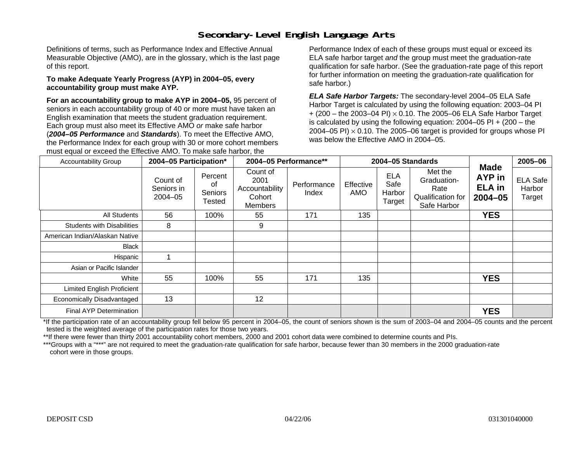# **Secondary-Level English Language Arts**

Definitions of terms, such as Performance Index and Effective Annual Measurable Objective (AMO), are in the glossary, which is the last page of this report.

#### **To make Adequate Yearly Progress (AYP) in 2004–05, every accountability group must make AYP.**

**For an accountability group to make AYP in 2004–05,** 95 percent of seniors in each accountability group of 40 or more must have taken an English examination that meets the student graduation requirement. Each group must also meet its Effective AMO *or* make safe harbor (*2004–05 Performance* and *Standards*). To meet the Effective AMO, the Performance Index for each group with 30 or more cohort members must equal or exceed the Effective AMO. To make safe harbor, the

Performance Index of each of these groups must equal or exceed its ELA safe harbor target *and* the group must meet the graduation-rate qualification for safe harbor. (See the graduation-rate page of this report for further information on meeting the graduation-rate qualification for safe harbor.)

*ELA Safe Harbor Targets:* The secondary-level 2004–05 ELA Safe Harbor Target is calculated by using the following equation: 2003–04 PI + (200 – the 2003–04 PI) <sup>×</sup> 0.10. The 2005–06 ELA Safe Harbor Target is calculated by using the following equation:  $2004-05$  PI  $+$  (200 – the 2004–05 PI)  $\times$  0.10. The 2005–06 target is provided for groups whose PI was below the Effective AMO in 2004–05.

| <b>Accountability Group</b>       | 2004-05 Participation*                |                                    | 2004-05 Performance**                                          |                      | 2004-05 Standards |                                        | <b>Made</b>                                                        | 2005-06                            |                                     |
|-----------------------------------|---------------------------------------|------------------------------------|----------------------------------------------------------------|----------------------|-------------------|----------------------------------------|--------------------------------------------------------------------|------------------------------------|-------------------------------------|
|                                   | Count of<br>Seniors in<br>$2004 - 05$ | Percent<br>οf<br>Seniors<br>Tested | Count of<br>2001<br>Accountability<br>Cohort<br><b>Members</b> | Performance<br>Index | Effective<br>AMO  | <b>ELA</b><br>Safe<br>Harbor<br>Target | Met the<br>Graduation-<br>Rate<br>Qualification for<br>Safe Harbor | AYP in<br><b>ELA</b> in<br>2004-05 | <b>ELA Safe</b><br>Harbor<br>Target |
| All Students                      | 56                                    | 100%                               | 55                                                             | 171                  | 135               |                                        |                                                                    | <b>YES</b>                         |                                     |
| <b>Students with Disabilities</b> | 8                                     |                                    | 9                                                              |                      |                   |                                        |                                                                    |                                    |                                     |
| American Indian/Alaskan Native    |                                       |                                    |                                                                |                      |                   |                                        |                                                                    |                                    |                                     |
| <b>Black</b>                      |                                       |                                    |                                                                |                      |                   |                                        |                                                                    |                                    |                                     |
| Hispanic                          |                                       |                                    |                                                                |                      |                   |                                        |                                                                    |                                    |                                     |
| Asian or Pacific Islander         |                                       |                                    |                                                                |                      |                   |                                        |                                                                    |                                    |                                     |
| White                             | 55                                    | 100%                               | 55                                                             | 171                  | 135               |                                        |                                                                    | <b>YES</b>                         |                                     |
| Limited English Proficient        |                                       |                                    |                                                                |                      |                   |                                        |                                                                    |                                    |                                     |
| Economically Disadvantaged        | 13                                    |                                    | 12                                                             |                      |                   |                                        |                                                                    |                                    |                                     |
| <b>Final AYP Determination</b>    |                                       |                                    |                                                                |                      |                   |                                        |                                                                    | <b>YES</b>                         |                                     |

\*If the participation rate of an accountability group fell below 95 percent in 2004–05, the count of seniors shown is the sum of 2003–04 and 2004–05 counts and the percent tested is the weighted average of the participation rates for those two years.

\*\*If there were fewer than thirty 2001 accountability cohort members, 2000 and 2001 cohort data were combined to determine counts and PIs.

\*\*\*Groups with a "\*\*\*" are not required to meet the graduation-rate qualification for safe harbor, because fewer than 30 members in the 2000 graduation-rate cohort were in those groups.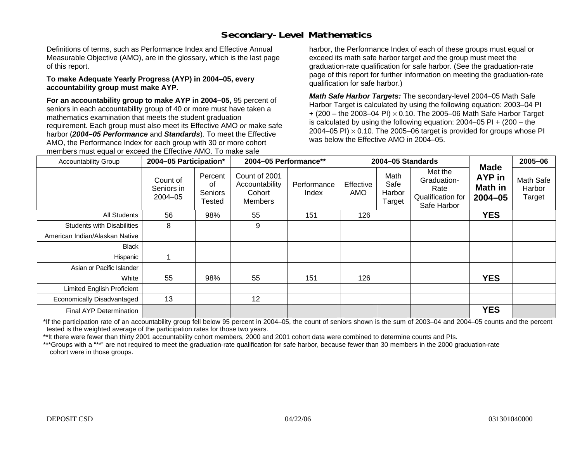## **Secondary-Level Mathematics**

Definitions of terms, such as Performance Index and Effective Annual Measurable Objective (AMO), are in the glossary, which is the last page of this report.

#### **To make Adequate Yearly Progress (AYP) in 2004–05, every accountability group must make AYP.**

**For an accountability group to make AYP in 2004–05,** 95 percent of seniors in each accountability group of 40 or more must have taken a mathematics examination that meets the student graduation requirement. Each group must also meet its Effective AMO *or* make safe harbor (*2004–05 Performance* and *Standards*). To meet the Effective AMO, the Performance Index for each group with 30 or more cohort members must equal or exceed the Effective AMO. To make safe

harbor, the Performance Index of each of these groups must equal or exceed its math safe harbor target *and* the group must meet the graduation-rate qualification for safe harbor. (See the graduation-rate page of this report for further information on meeting the graduation-rate qualification for safe harbor.)

*Math Safe Harbor Targets:* The secondary-level 2004–05 Math Safe Harbor Target is calculated by using the following equation: 2003–04 PI + (200 – the 2003–04 PI) <sup>×</sup> 0.10. The 2005–06 Math Safe Harbor Target is calculated by using the following equation:  $2004-05$  PI  $+$  (200 – the 2004–05 PI)  $\times$  0.10. The 2005–06 target is provided for groups whose PI was below the Effective AMO in 2004–05.

| <b>Accountability Group</b>       | 2004-05 Participation*                |                                    | 2004-05 Performance**                                |                      | 2004-05 Standards |                                  |                                                                    | <b>Made</b>                      | 2005-06                       |
|-----------------------------------|---------------------------------------|------------------------------------|------------------------------------------------------|----------------------|-------------------|----------------------------------|--------------------------------------------------------------------|----------------------------------|-------------------------------|
|                                   | Count of<br>Seniors in<br>$2004 - 05$ | Percent<br>οf<br>Seniors<br>Tested | Count of 2001<br>Accountability<br>Cohort<br>Members | Performance<br>Index | Effective<br>AMO  | Math<br>Safe<br>Harbor<br>Target | Met the<br>Graduation-<br>Rate<br>Qualification for<br>Safe Harbor | AYP in<br>Math in<br>$2004 - 05$ | Math Safe<br>Harbor<br>Target |
| All Students                      | 56                                    | 98%                                | 55                                                   | 151                  | 126               |                                  |                                                                    | <b>YES</b>                       |                               |
| <b>Students with Disabilities</b> | 8                                     |                                    | 9                                                    |                      |                   |                                  |                                                                    |                                  |                               |
| American Indian/Alaskan Native    |                                       |                                    |                                                      |                      |                   |                                  |                                                                    |                                  |                               |
| Black                             |                                       |                                    |                                                      |                      |                   |                                  |                                                                    |                                  |                               |
| Hispanic                          |                                       |                                    |                                                      |                      |                   |                                  |                                                                    |                                  |                               |
| Asian or Pacific Islander         |                                       |                                    |                                                      |                      |                   |                                  |                                                                    |                                  |                               |
| White                             | 55                                    | 98%                                | 55                                                   | 151                  | 126               |                                  |                                                                    | <b>YES</b>                       |                               |
| <b>Limited English Proficient</b> |                                       |                                    |                                                      |                      |                   |                                  |                                                                    |                                  |                               |
| Economically Disadvantaged        | 13                                    |                                    | 12                                                   |                      |                   |                                  |                                                                    |                                  |                               |
| Final AYP Determination           |                                       |                                    |                                                      |                      |                   |                                  |                                                                    | <b>YES</b>                       |                               |

\*If the participation rate of an accountability group fell below 95 percent in 2004–05, the count of seniors shown is the sum of 2003–04 and 2004–05 counts and the percent tested is the weighted average of the participation rates for those two years.

\*\*It there were fewer than thirty 2001 accountability cohort members, 2000 and 2001 cohort data were combined to determine counts and PIs.

\*\*\*Groups with a "\*\*" are not required to meet the graduation-rate qualification for safe harbor, because fewer than 30 members in the 2000 graduation-rate cohort were in those groups.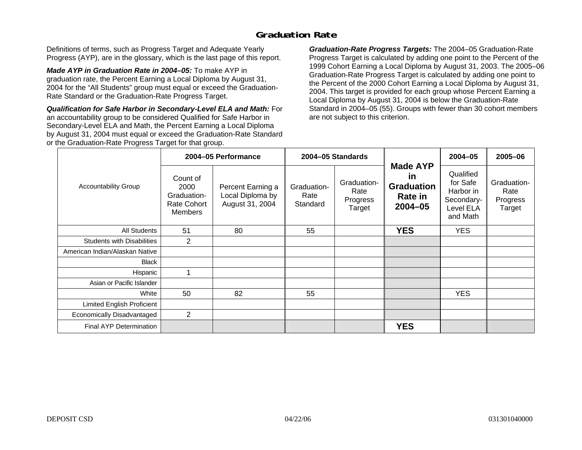### **Graduation Rate**

Definitions of terms, such as Progress Target and Adequate Yearly Progress (AYP), are in the glossary, which is the last page of this report.

*Made AYP in Graduation Rate in 2004–05:* To make AYP in graduation rate, the Percent Earning a Local Diploma by August 31, 2004 for the "All Students" group must equal or exceed the Graduation-Rate Standard or the Graduation-Rate Progress Target.

*Qualification for Safe Harbor in Secondary-Level ELA and Math:* For an accountability group to be considered Qualified for Safe Harbor in Secondary-Level ELA and Math, the Percent Earning a Local Diploma by August 31, 2004 must equal or exceed the Graduation-Rate Standard or the Graduation-Rate Progress Target for that group.

*Graduation-Rate Progress Targets:* The 2004–05 Graduation-Rate Progress Target is calculated by adding one point to the Percent of the 1999 Cohort Earning a Local Diploma by August 31, 2003. The 2005–06 Graduation-Rate Progress Target is calculated by adding one point to the Percent of the 2000 Cohort Earning a Local Diploma by August 31, 2004. This target is provided for each group whose Percent Earning a Local Diploma by August 31, 2004 is below the Graduation-Rate Standard in 2004–05 (55). Groups with fewer than 30 cohort members are not subject to this criterion.

|                                   |                                                                  | 2004-05 Performance                                      |                                 | 2004-05 Standards                         |                                                                             | $2004 - 05$                                                               | 2005-06                                   |
|-----------------------------------|------------------------------------------------------------------|----------------------------------------------------------|---------------------------------|-------------------------------------------|-----------------------------------------------------------------------------|---------------------------------------------------------------------------|-------------------------------------------|
| <b>Accountability Group</b>       | Count of<br>2000<br>Graduation-<br>Rate Cohort<br><b>Members</b> | Percent Earning a<br>Local Diploma by<br>August 31, 2004 | Graduation-<br>Rate<br>Standard | Graduation-<br>Rate<br>Progress<br>Target | <b>Made AYP</b><br><u>in</u><br><b>Graduation</b><br>Rate in<br>$2004 - 05$ | Qualified<br>for Safe<br>Harbor in<br>Secondary-<br>Level ELA<br>and Math | Graduation-<br>Rate<br>Progress<br>Target |
| All Students                      | 51                                                               | 80                                                       | 55                              |                                           | <b>YES</b>                                                                  | <b>YES</b>                                                                |                                           |
| <b>Students with Disabilities</b> | 2                                                                |                                                          |                                 |                                           |                                                                             |                                                                           |                                           |
| American Indian/Alaskan Native    |                                                                  |                                                          |                                 |                                           |                                                                             |                                                                           |                                           |
| <b>Black</b>                      |                                                                  |                                                          |                                 |                                           |                                                                             |                                                                           |                                           |
| Hispanic                          |                                                                  |                                                          |                                 |                                           |                                                                             |                                                                           |                                           |
| Asian or Pacific Islander         |                                                                  |                                                          |                                 |                                           |                                                                             |                                                                           |                                           |
| White                             | 50                                                               | 82                                                       | 55                              |                                           |                                                                             | <b>YES</b>                                                                |                                           |
| Limited English Proficient        |                                                                  |                                                          |                                 |                                           |                                                                             |                                                                           |                                           |
| Economically Disadvantaged        | $\overline{2}$                                                   |                                                          |                                 |                                           |                                                                             |                                                                           |                                           |
| <b>Final AYP Determination</b>    |                                                                  |                                                          |                                 |                                           | <b>YES</b>                                                                  |                                                                           |                                           |